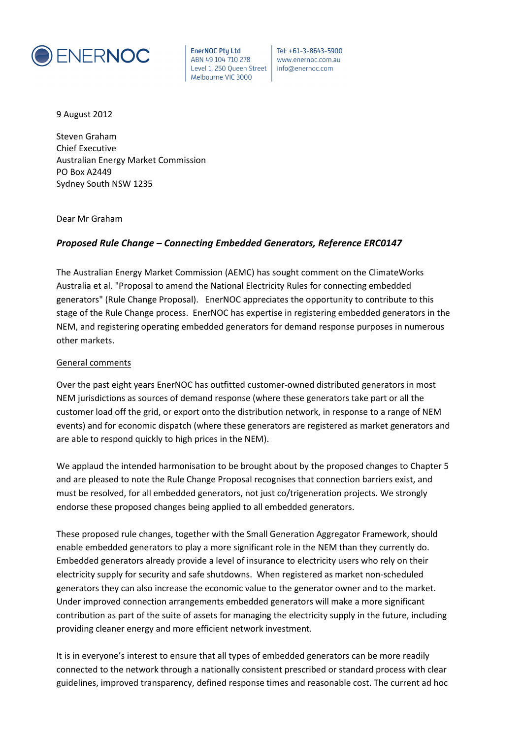

Tel: +61-3-8643-5900 www.enernoc.com.au info@enernoc.com

9 August 2012

Steven Graham Chief Executive Australian Energy Market Commission PO Box A2449 Sydney South NSW 1235

Dear Mr Graham

## *Proposed Rule Change – Connecting Embedded Generators, Reference ERC0147*

The Australian Energy Market Commission (AEMC) has sought comment on the ClimateWorks Australia et al. "Proposal to amend the National Electricity Rules for connecting embedded generators" (Rule Change Proposal). EnerNOC appreciates the opportunity to contribute to this stage of the Rule Change process. EnerNOC has expertise in registering embedded generators in the NEM, and registering operating embedded generators for demand response purposes in numerous other markets.

#### General comments

Over the past eight years EnerNOC has outfitted customer-owned distributed generators in most NEM jurisdictions as sources of demand response (where these generators take part or all the customer load off the grid, or export onto the distribution network, in response to a range of NEM events) and for economic dispatch (where these generators are registered as market generators and are able to respond quickly to high prices in the NEM).

We applaud the intended harmonisation to be brought about by the proposed changes to Chapter 5 and are pleased to note the Rule Change Proposal recognises that connection barriers exist, and must be resolved, for all embedded generators, not just co/trigeneration projects. We strongly endorse these proposed changes being applied to all embedded generators.

These proposed rule changes, together with the Small Generation Aggregator Framework, should enable embedded generators to play a more significant role in the NEM than they currently do. Embedded generators already provide a level of insurance to electricity users who rely on their electricity supply for security and safe shutdowns. When registered as market non-scheduled generators they can also increase the economic value to the generator owner and to the market. Under improved connection arrangements embedded generators will make a more significant contribution as part of the suite of assets for managing the electricity supply in the future, including providing cleaner energy and more efficient network investment.

It is in everyone's interest to ensure that all types of embedded generators can be more readily connected to the network through a nationally consistent prescribed or standard process with clear guidelines, improved transparency, defined response times and reasonable cost. The current ad hoc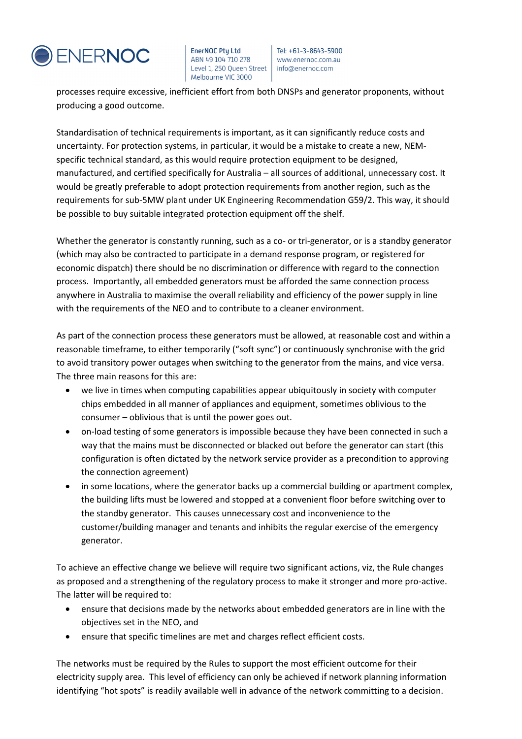

Tel: +61-3-8643-5900 www.enernoc.com.au info@enernoc.com

processes require excessive, inefficient effort from both DNSPs and generator proponents, without producing a good outcome.

Standardisation of technical requirements is important, as it can significantly reduce costs and uncertainty. For protection systems, in particular, it would be a mistake to create a new, NEMspecific technical standard, as this would require protection equipment to be designed, manufactured, and certified specifically for Australia – all sources of additional, unnecessary cost. It would be greatly preferable to adopt protection requirements from another region, such as the requirements for sub-5MW plant under UK Engineering Recommendation G59/2. This way, it should be possible to buy suitable integrated protection equipment off the shelf.

Whether the generator is constantly running, such as a co- or tri-generator, or is a standby generator (which may also be contracted to participate in a demand response program, or registered for economic dispatch) there should be no discrimination or difference with regard to the connection process. Importantly, all embedded generators must be afforded the same connection process anywhere in Australia to maximise the overall reliability and efficiency of the power supply in line with the requirements of the NEO and to contribute to a cleaner environment.

As part of the connection process these generators must be allowed, at reasonable cost and within a reasonable timeframe, to either temporarily ("soft sync") or continuously synchronise with the grid to avoid transitory power outages when switching to the generator from the mains, and vice versa. The three main reasons for this are:

- we live in times when computing capabilities appear ubiquitously in society with computer chips embedded in all manner of appliances and equipment, sometimes oblivious to the consumer – oblivious that is until the power goes out.
- on-load testing of some generators is impossible because they have been connected in such a way that the mains must be disconnected or blacked out before the generator can start (this configuration is often dictated by the network service provider as a precondition to approving the connection agreement)
- in some locations, where the generator backs up a commercial building or apartment complex, the building lifts must be lowered and stopped at a convenient floor before switching over to the standby generator. This causes unnecessary cost and inconvenience to the customer/building manager and tenants and inhibits the regular exercise of the emergency generator.

To achieve an effective change we believe will require two significant actions, viz, the Rule changes as proposed and a strengthening of the regulatory process to make it stronger and more pro-active. The latter will be required to:

- ensure that decisions made by the networks about embedded generators are in line with the objectives set in the NEO, and
- ensure that specific timelines are met and charges reflect efficient costs.

The networks must be required by the Rules to support the most efficient outcome for their electricity supply area. This level of efficiency can only be achieved if network planning information identifying "hot spots" is readily available well in advance of the network committing to a decision.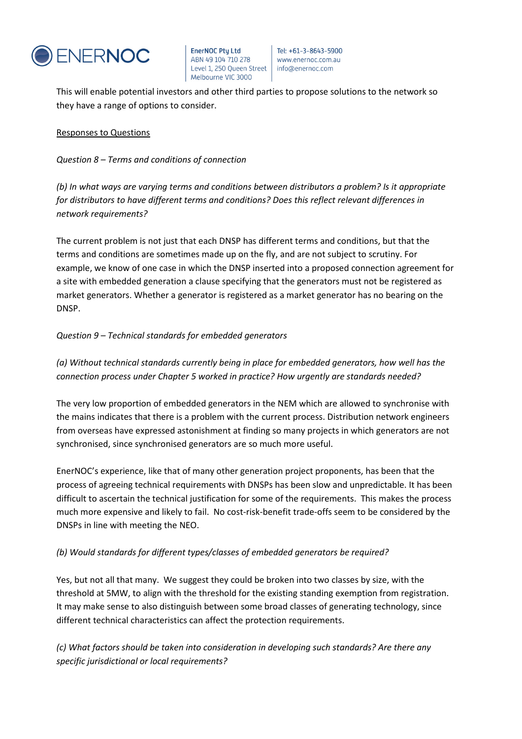

Tel: +61-3-8643-5900 www.enernoc.com.au info@enernoc.com

This will enable potential investors and other third parties to propose solutions to the network so they have a range of options to consider.

#### Responses to Questions

*Question 8 – Terms and conditions of connection*

*(b) In what ways are varying terms and conditions between distributors a problem? Is it appropriate for distributors to have different terms and conditions? Does this reflect relevant differences in network requirements?*

The current problem is not just that each DNSP has different terms and conditions, but that the terms and conditions are sometimes made up on the fly, and are not subject to scrutiny. For example, we know of one case in which the DNSP inserted into a proposed connection agreement for a site with embedded generation a clause specifying that the generators must not be registered as market generators. Whether a generator is registered as a market generator has no bearing on the DNSP.

## *Question 9 – Technical standards for embedded generators*

*(a) Without technical standards currently being in place for embedded generators, how well has the connection process under Chapter 5 worked in practice? How urgently are standards needed?*

The very low proportion of embedded generators in the NEM which are allowed to synchronise with the mains indicates that there is a problem with the current process. Distribution network engineers from overseas have expressed astonishment at finding so many projects in which generators are not synchronised, since synchronised generators are so much more useful.

EnerNOC's experience, like that of many other generation project proponents, has been that the process of agreeing technical requirements with DNSPs has been slow and unpredictable. It has been difficult to ascertain the technical justification for some of the requirements. This makes the process much more expensive and likely to fail. No cost-risk-benefit trade-offs seem to be considered by the DNSPs in line with meeting the NEO.

## *(b) Would standards for different types/classes of embedded generators be required?*

Yes, but not all that many. We suggest they could be broken into two classes by size, with the threshold at 5MW, to align with the threshold for the existing standing exemption from registration. It may make sense to also distinguish between some broad classes of generating technology, since different technical characteristics can affect the protection requirements.

*(c) What factors should be taken into consideration in developing such standards? Are there any specific jurisdictional or local requirements?*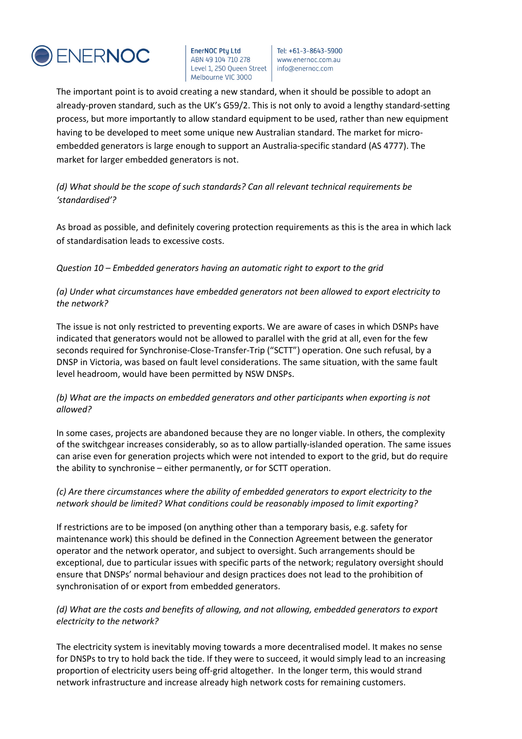

Tel: +61-3-8643-5900 www.enernoc.com.au info@enernoc.com

The important point is to avoid creating a new standard, when it should be possible to adopt an already-proven standard, such as the UK's G59/2. This is not only to avoid a lengthy standard-setting process, but more importantly to allow standard equipment to be used, rather than new equipment having to be developed to meet some unique new Australian standard. The market for microembedded generators is large enough to support an Australia-specific standard (AS 4777). The market for larger embedded generators is not.

*(d) What should be the scope of such standards? Can all relevant technical requirements be 'standardised'?*

As broad as possible, and definitely covering protection requirements as this is the area in which lack of standardisation leads to excessive costs.

*Question 10 – Embedded generators having an automatic right to export to the grid*

*(a) Under what circumstances have embedded generators not been allowed to export electricity to the network?*

The issue is not only restricted to preventing exports. We are aware of cases in which DSNPs have indicated that generators would not be allowed to parallel with the grid at all, even for the few seconds required for Synchronise-Close-Transfer-Trip ("SCTT") operation. One such refusal, by a DNSP in Victoria, was based on fault level considerations. The same situation, with the same fault level headroom, would have been permitted by NSW DNSPs.

## *(b) What are the impacts on embedded generators and other participants when exporting is not allowed?*

In some cases, projects are abandoned because they are no longer viable. In others, the complexity of the switchgear increases considerably, so as to allow partially-islanded operation. The same issues can arise even for generation projects which were not intended to export to the grid, but do require the ability to synchronise – either permanently, or for SCTT operation.

## *(c) Are there circumstances where the ability of embedded generators to export electricity to the network should be limited? What conditions could be reasonably imposed to limit exporting?*

If restrictions are to be imposed (on anything other than a temporary basis, e.g. safety for maintenance work) this should be defined in the Connection Agreement between the generator operator and the network operator, and subject to oversight. Such arrangements should be exceptional, due to particular issues with specific parts of the network; regulatory oversight should ensure that DNSPs' normal behaviour and design practices does not lead to the prohibition of synchronisation of or export from embedded generators.

## *(d) What are the costs and benefits of allowing, and not allowing, embedded generators to export electricity to the network?*

The electricity system is inevitably moving towards a more decentralised model. It makes no sense for DNSPs to try to hold back the tide. If they were to succeed, it would simply lead to an increasing proportion of electricity users being off-grid altogether. In the longer term, this would strand network infrastructure and increase already high network costs for remaining customers.